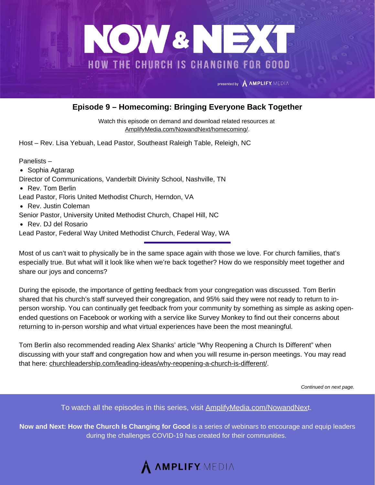

## **Episode 9 – Homecoming: Bringing Everyone Back Together**

Watch this episode on demand and download related resources at [AmplifyMedia.com/NowandNext/homecoming/](https://amplifymedia.com/nowandnext/homecoming/).

Host – Rev. Lisa Yebuah, Lead Pastor, Southeast Raleigh Table, Releigh, NC

Panelists –

- Sophia Agtarap
- Director of Communications, Vanderbilt Divinity School, Nashville, TN
- Rev. Tom Berlin

Lead Pastor, Floris United Methodist Church, Herndon, VA

• Rev. Justin Coleman

Senior Pastor, University United Methodist Church, Chapel Hill, NC

• Rev. DJ del Rosario

Lead Pastor, Federal Way United Methodist Church, Federal Way, WA

Most of us can't wait to physically be in the same space again with those we love. For church families, that's especially true. But what will it look like when we're back together? How do we responsibly meet together and share our joys and concerns?

During the episode, the importance of getting feedback from your congregation was discussed. Tom Berlin shared that his church's staff surveyed their congregation, and 95% said they were not ready to return to inperson worship. You can continually get feedback from your community by something as simple as asking openended questions on Facebook or working with a service like Survey Monkey to find out their concerns about returning to in-person worship and what virtual experiences have been the most meaningful.

Tom Berlin also recommended reading Alex Shanks' article "Why Reopening a Church Is Different" when discussing with your staff and congregation how and when you will resume in-person meetings. You may read that here: [churchleadership.com/leading-ideas/why-reopening-a-church-is-different/](https://www.churchleadership.com/leading-ideas/why-reopening-a-church-is-different/).

*Continued on next page.*

To watch all the episodes in this series, visit **[AmplifyMedia.com/NowandNex](https://amplifymedia.com/nowandnext/)t.** 

**Now and Next: How the Church Is Changing for Good** is a series of webinars to encourage and equip leaders during the challenges COVID-19 has created for their communities.